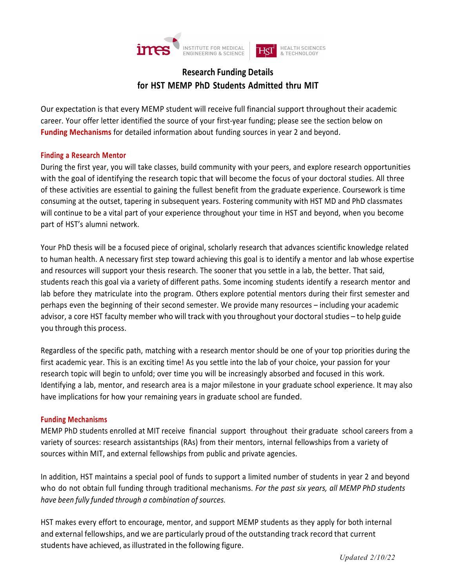

# **Research Funding Details for HST MEMP PhD Students Admitted thru MIT**

Our expectation is that every MEMP student will receive full financial support throughout their academic career. Your offer letter identified the source of your first-year funding; please see the section below on **Funding Mechanisms** for detailed information about funding sources in year 2 and beyond.

## **Finding a Research Mentor**

During the first year, you will take classes, build community with your peers, and explore research opportunities with the goal of identifying the research topic that will become the focus of your doctoral studies. All three of these activities are essential to gaining the fullest benefit from the graduate experience. Coursework is time consuming at the outset, tapering in subsequent years. Fostering community with HST MD and PhD classmates will continue to be a vital part of your experience throughout your time in HST and beyond, when you become part of HST's alumni network.

Your PhD thesis will be a focused piece of original, scholarly research that advances scientific knowledge related to human health. A necessary first step toward achieving this goal is to identify a mentor and lab whose expertise and resources will support your thesis research. The sooner that you settle in a lab, the better. That said, students reach this goal via a variety of different paths. Some incoming students identify a research mentor and lab before they matriculate into the program. Others explore potential mentors during their first semester and perhaps even the beginning of their second semester. We provide many resources – including your academic advisor, a core HST faculty member who will track with you throughout your doctoral studies – to help guide you through this process.

Regardless of the specific path, matching with a research mentor should be one of your top priorities during the first academic year. This is an exciting time! As you settle into the lab of your choice, your passion for your research topic will begin to unfold; over time you will be increasingly absorbed and focused in this work. Identifying a lab, mentor, and research area is a major milestone in your graduate school experience. It may also have implications for how your remaining years in graduate school are funded.

#### **Funding Mechanisms**

MEMP PhD students enrolled at MIT receive financial support throughout their graduate school careers from a variety of sources: research assistantships (RAs) from their mentors, internal fellowships from a variety of sources within MIT, and external fellowships from public and private agencies.

In addition, HST maintains a special pool of funds to support a limited number of students in year 2 and beyond who do not obtain full funding through traditional mechanisms. *For the past six years, all MEMP PhD students have been fully funded through a combination of sources.*

HST makes every effort to encourage, mentor, and support MEMP students as they apply for both internal and external fellowships, and we are particularly proud of the outstanding track record that current students have achieved, as illustrated in the following figure.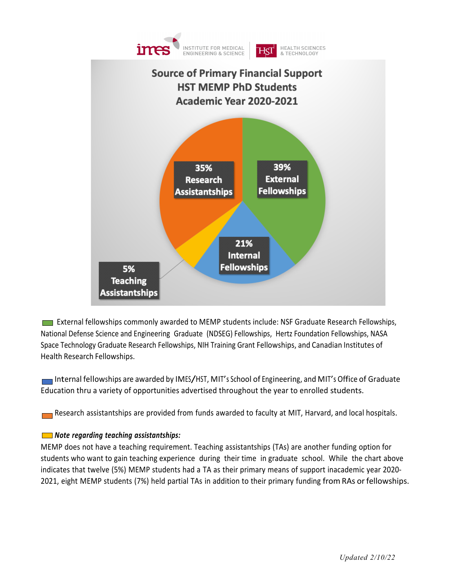

**External fellowships commonly awarded to MEMP students include: NSF Graduate Research Fellowships,** National Defense Science and Engineering Graduate (NDSEG) Fellowships, Hertz Foundation Fellowships, NASA Space Technology Graduate Research Fellowships, NIH Training Grant Fellowships, and Canadian Institutes of Health Research Fellowships.

Internal fellowships are awarded by IMES/HST, MIT's School of Engineering, and MIT's Office of Graduate Education thru a variety of opportunities advertised throughout the year to enrolled students.

Research assistantships are provided from funds awarded to faculty at MIT, Harvard, and local hospitals.

# *Note regarding teaching assistantships:*

MEMP does not have a teaching requirement. Teaching assistantships (TAs) are another funding option for students who want to gain teaching experience during their time in graduate school. While the chart above indicates that twelve (5%) MEMP students had a TA as their primary means of support inacademic year 2020- 2021, eight MEMP students (7%) held partial TAs in addition to their primary funding fromRAs orfellowships.